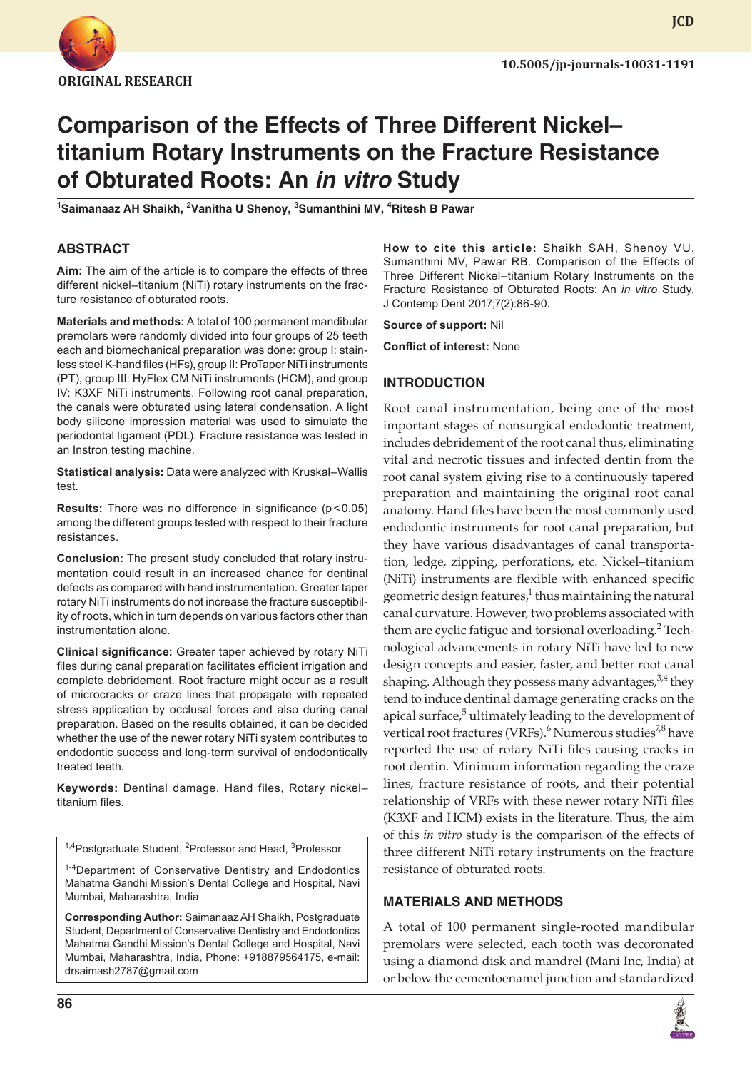

**JCD**

# **Comparison of the Effects of Three Different Nickel– titanium Rotary Instruments on the Fracture Resistance of Obturated Roots: An** *in vitro* **Study**

<sup>1</sup>Saimanaaz AH Shaikh, <sup>2</sup>Vanitha U Shenoy, <sup>3</sup>Sumanthini MV, <sup>4</sup>Ritesh B Pawar

# **ABSTRACT**

**Aim:** The aim of the article is to compare the effects of three different nickel–titanium (NiTi) rotary instruments on the fracture resistance of obturated roots.

**Materials and methods:** A total of 100 permanent mandibular premolars were randomly divided into four groups of 25 teeth each and biomechanical preparation was done: group I: stainless steel K-hand files (HFs), group II: ProTaper NiTi instruments (PT), group III: HyFlex CM NiTi instruments (HCM), and group IV: K3XF NiTi instruments. Following root canal preparation, the canals were obturated using lateral condensation. A light body silicone impression material was used to simulate the periodontal ligament (PDL). Fracture resistance was tested in an Instron testing machine.

**Statistical analysis:** Data were analyzed with Kruskal–Wallis test.

**Results:** There was no difference in significance (p<0.05) among the different groups tested with respect to their fracture resistances.

**Conclusion:** The present study concluded that rotary instrumentation could result in an increased chance for dentinal defects as compared with hand instrumentation. Greater taper rotary NiTi instruments do not increase the fracture susceptibility of roots, which in turn depends on various factors other than instrumentation alone.

**Clinical significance:** Greater taper achieved by rotary NiTi files during canal preparation facilitates efficient irrigation and complete debridement. Root fracture might occur as a result of microcracks or craze lines that propagate with repeated stress application by occlusal forces and also during canal preparation. Based on the results obtained, it can be decided whether the use of the newer rotary NiTi system contributes to endodontic success and long-term survival of endodontically treated teeth.

**Keywords:** Dentinal damage, Hand files, Rotary nickel– titanium files.

<sup>1,4</sup>Postgraduate Student, <sup>2</sup>Professor and Head, <sup>3</sup>Professor

<sup>1-4</sup>Department of Conservative Dentistry and Endodontics Mahatma Gandhi Mission's Dental College and Hospital, Navi Mumbai, Maharashtra, India

**Corresponding Author:** Saimanaaz AH Shaikh, Postgraduate Student, Department of Conservative Dentistry and Endodontics Mahatma Gandhi Mission's Dental College and Hospital, Navi Mumbai, Maharashtra, India, Phone: +918879564175, e-mail: drsaimash2787@gmail.com

**How to cite this article:** Shaikh SAH, Shenoy VU, Sumanthini MV, Pawar RB. Comparison of the Effects of Three Different Nickel–titanium Rotary Instruments on the Fracture Resistance of Obturated Roots: An *in vitro* Study. J Contemp Dent 2017;7(2):86-90.

**Source of support:** Nil

**Conflict of interest:** None

#### **INTRODUCTION**

Root canal instrumentation, being one of the most important stages of nonsurgical endodontic treatment, includes debridement of the root canal thus, eliminating vital and necrotic tissues and infected dentin from the root canal system giving rise to a continuously tapered preparation and maintaining the original root canal anatomy. Hand files have been the most commonly used endodontic instruments for root canal preparation, but they have various disadvantages of canal transportation, ledge, zipping, perforations, etc. Nickel–titanium (NiTi) instruments are flexible with enhanced specific geometric design features, $1$  thus maintaining the natural canal curvature. However, two problems associated with them are cyclic fatigue and torsional overloading.<sup>2</sup> Technological advancements in rotary NiTi have led to new design concepts and easier, faster, and better root canal shaping. Although they possess many advantages,  $3,4$  they tend to induce dentinal damage generating cracks on the apical surface,<sup>5</sup> ultimately leading to the development of vertical root fractures (VRFs).<sup>6</sup> Numerous studies<sup>7,8</sup> have reported the use of rotary NiTi files causing cracks in root dentin. Minimum information regarding the craze lines, fracture resistance of roots, and their potential relationship of VRFs with these newer rotary NiTi files (K3XF and HCM) exists in the literature. Thus, the aim of this *in vitro* study is the comparison of the effects of three different NiTi rotary instruments on the fracture resistance of obturated roots.

#### **MATERIALS AND METHODS**

A total of 100 permanent single-rooted mandibular premolars were selected, each tooth was decoronated using a diamond disk and mandrel (Mani Inc, India) at or below the cementoenamel junction and standardized

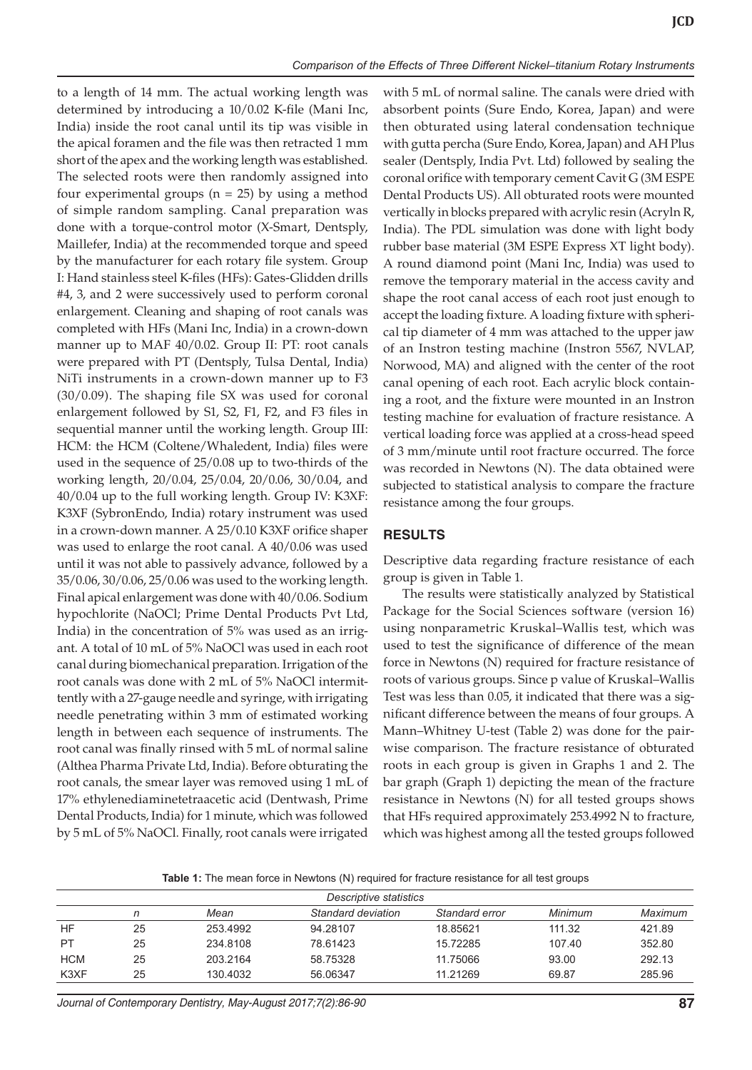to a length of 14 mm. The actual working length was determined by introducing a 10/0.02 K-file (Mani Inc, India) inside the root canal until its tip was visible in the apical foramen and the file was then retracted 1 mm short of the apex and the working length was established. The selected roots were then randomly assigned into four experimental groups (n = 25) by using a method of simple random sampling. Canal preparation was done with a torque-control motor (X-Smart, Dentsply, Maillefer, India) at the recommended torque and speed by the manufacturer for each rotary file system. Group I: Hand stainless steel K-files (HFs): Gates-Glidden drills #4, 3, and 2 were successively used to perform coronal enlargement. Cleaning and shaping of root canals was completed with HFs (Mani Inc, India) in a crown-down manner up to MAF 40/0.02. Group II: PT: root canals were prepared with PT (Dentsply, Tulsa Dental, India) NiTi instruments in a crown-down manner up to F3 (30/0.09). The shaping file SX was used for coronal enlargement followed by S1, S2, F1, F2, and F3 files in sequential manner until the working length. Group III: HCM: the HCM (Coltene/Whaledent, India) files were used in the sequence of 25/0.08 up to two-thirds of the working length, 20/0.04, 25/0.04, 20/0.06, 30/0.04, and 40/0.04 up to the full working length. Group IV: K3XF: K3XF (SybronEndo, India) rotary instrument was used in a crown-down manner. A 25/0.10 K3XF orifice shaper was used to enlarge the root canal. A 40/0.06 was used until it was not able to passively advance, followed by a 35/0.06, 30/0.06, 25/0.06 was used to the working length. Final apical enlargement was done with 40/0.06. Sodium hypochlorite (NaOCl; Prime Dental Products Pvt Ltd, India) in the concentration of 5% was used as an irrigant. A total of 10 mL of 5% NaOCl was used in each root canal during biomechanical preparation. Irrigation of the root canals was done with 2 mL of 5% NaOCl intermittently with a 27-gauge needle and syringe, with irrigating needle penetrating within 3 mm of estimated working length in between each sequence of instruments. The root canal was finally rinsed with 5 mL of normal saline (Althea Pharma Private Ltd, India). Before obturating the root canals, the smear layer was removed using 1 mL of 17% ethylenediaminetetraacetic acid (Dentwash, Prime Dental Products, India) for 1 minute, which was followed by 5 mL of 5% NaOCl. Finally, root canals were irrigated

with 5 mL of normal saline. The canals were dried with absorbent points (Sure Endo, Korea, Japan) and were then obturated using lateral condensation technique with gutta percha (Sure Endo, Korea, Japan) and AH Plus sealer (Dentsply, India Pvt. Ltd) followed by sealing the coronal orifice with temporary cement Cavit G (3M ESPE Dental Products US). All obturated roots were mounted vertically in blocks prepared with acrylic resin (Acryln R, India). The PDL simulation was done with light body rubber base material (3M ESPE Express XT light body). A round diamond point (Mani Inc, India) was used to remove the temporary material in the access cavity and shape the root canal access of each root just enough to accept the loading fixture. A loading fixture with spherical tip diameter of 4 mm was attached to the upper jaw of an Instron testing machine (Instron 5567, NVLAP, Norwood, MA) and aligned with the center of the root canal opening of each root. Each acrylic block containing a root, and the fixture were mounted in an Instron testing machine for evaluation of fracture resistance. A vertical loading force was applied at a cross-head speed of 3 mm/minute until root fracture occurred. The force was recorded in Newtons (N). The data obtained were subjected to statistical analysis to compare the fracture resistance among the four groups.

### **RESULTS**

Descriptive data regarding fracture resistance of each group is given in Table 1.

The results were statistically analyzed by Statistical Package for the Social Sciences software (version 16) using nonparametric Kruskal–Wallis test, which was used to test the significance of difference of the mean force in Newtons (N) required for fracture resistance of roots of various groups. Since p value of Kruskal–Wallis Test was less than 0.05, it indicated that there was a significant difference between the means of four groups. A Mann–Whitney U-test (Table 2) was done for the pairwise comparison. The fracture resistance of obturated roots in each group is given in Graphs 1 and 2. The bar graph (Graph 1) depicting the mean of the fracture resistance in Newtons (N) for all tested groups shows that HFs required approximately 253.4992 N to fracture, which was highest among all the tested groups followed

**Table 1:** The mean force in Newtons (N) required for fracture resistance for all test groups

| Descriptive statistics |    |          |                    |                |         |         |  |  |  |
|------------------------|----|----------|--------------------|----------------|---------|---------|--|--|--|
|                        |    | Mean     | Standard deviation | Standard error | Minimum | Maximum |  |  |  |
| HF                     | 25 | 253.4992 | 94.28107           | 18.85621       | 111.32  | 421.89  |  |  |  |
| PT                     | 25 | 234,8108 | 78.61423           | 15.72285       | 107.40  | 352.80  |  |  |  |
| <b>HCM</b>             | 25 | 203.2164 | 58.75328           | 11.75066       | 93.00   | 292.13  |  |  |  |
| K3XF                   | 25 | 130.4032 | 56.06347           | 11.21269       | 69.87   | 285.96  |  |  |  |

*Journal of Contemporary Dentistry, May-August 2017;7(2):86-90* **87**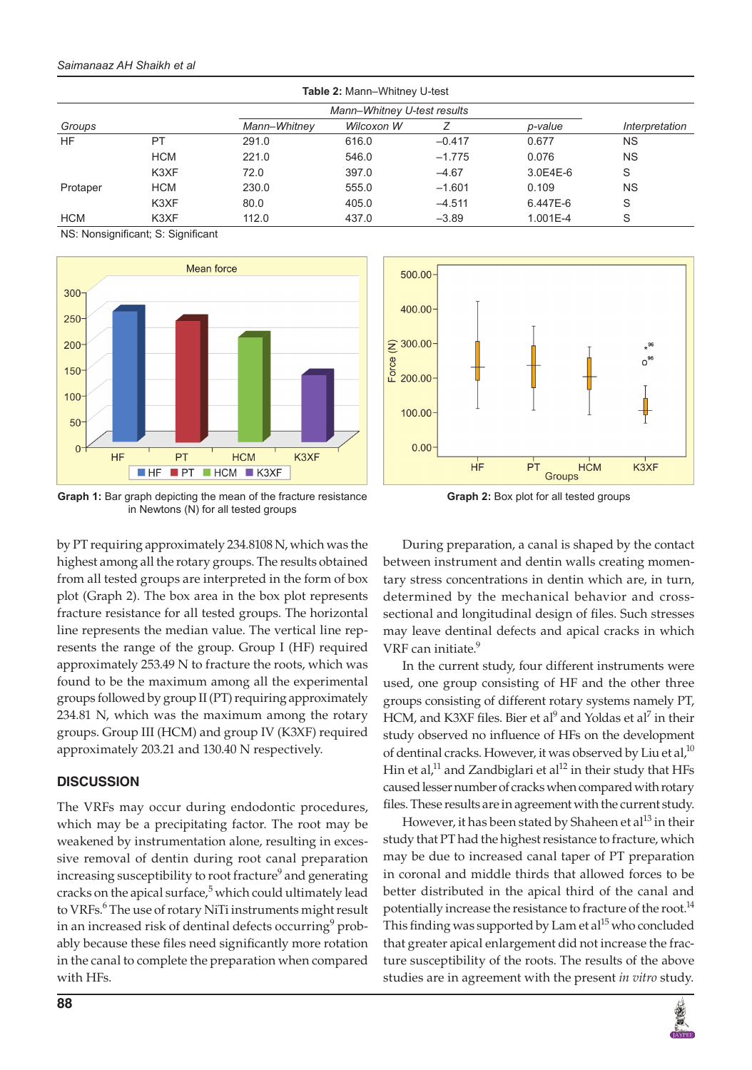#### *Saimanaaz AH Shaikh et al*

| <b>Table 2: Mann-Whitney U-test</b> |            |                             |            |          |          |                |  |  |  |
|-------------------------------------|------------|-----------------------------|------------|----------|----------|----------------|--|--|--|
|                                     |            | Mann-Whitney U-test results |            |          |          |                |  |  |  |
| Groups                              |            | Mann-Whitney                | Wilcoxon W |          | p-value  | Interpretation |  |  |  |
| <b>HF</b>                           | PT         | 291.0                       | 616.0      | $-0.417$ | 0.677    | <b>NS</b>      |  |  |  |
|                                     | <b>HCM</b> | 221.0                       | 546.0      | $-1.775$ | 0.076    | <b>NS</b>      |  |  |  |
|                                     | K3XF       | 72.0                        | 397.0      | $-4.67$  | 3.0E4E-6 | S              |  |  |  |
| Protaper                            | <b>HCM</b> | 230.0                       | 555.0      | $-1.601$ | 0.109    | <b>NS</b>      |  |  |  |
|                                     | K3XF       | 80.0                        | 405.0      | $-4.511$ | 6.447E-6 | S              |  |  |  |
| <b>HCM</b>                          | K3XF       | 112.0                       | 437.0      | $-3.89$  | 1.001E-4 | S              |  |  |  |

NS: Nonsignificant; S: Significant



**Graph 1:** Bar graph depicting the mean of the fracture resistance in Newtons (N) for all tested groups

by PT requiring approximately 234.8108 N, which was the highest among all the rotary groups. The results obtained from all tested groups are interpreted in the form of box plot (Graph 2). The box area in the box plot represents fracture resistance for all tested groups. The horizontal line represents the median value. The vertical line represents the range of the group. Group I (HF) required approximately 253.49 N to fracture the roots, which was found to be the maximum among all the experimental groups followed by group II (PT) requiring approximately 234.81 N, which was the maximum among the rotary groups. Group III (HCM) and group IV (K3XF) required approximately 203.21 and 130.40 N respectively.

# **DISCUSSION**

The VRFs may occur during endodontic procedures, which may be a precipitating factor. The root may be weakened by instrumentation alone, resulting in excessive removal of dentin during root canal preparation increasing susceptibility to root fracture<sup>9</sup> and generating cracks on the apical surface,<sup>5</sup> which could ultimately lead to VRFs.<sup>6</sup> The use of rotary NiTi instruments might result in an increased risk of dentinal defects occurring $^9$  probably because these files need significantly more rotation in the canal to complete the preparation when compared with HFs.



**Graph 2:** Box plot for all tested groups

During preparation, a canal is shaped by the contact between instrument and dentin walls creating momentary stress concentrations in dentin which are, in turn, determined by the mechanical behavior and crosssectional and longitudinal design of files. Such stresses may leave dentinal defects and apical cracks in which VRF can initiate.<sup>9</sup>

In the current study, four different instruments were used, one group consisting of HF and the other three groups consisting of different rotary systems namely PT, HCM, and K3XF files. Bier et al<sup>9</sup> and Yoldas et al<sup>7</sup> in their study observed no influence of HFs on the development of dentinal cracks. However, it was observed by Liu et al, $^{10}$ Hin et al, $11$  and Zandbiglari et al $12$  in their study that HFs caused lesser number of cracks when compared with rotary files. These results are in agreement with the current study.

However, it has been stated by Shaheen et al<sup>13</sup> in their study that PT had the highest resistance to fracture, which may be due to increased canal taper of PT preparation in coronal and middle thirds that allowed forces to be better distributed in the apical third of the canal and potentially increase the resistance to fracture of the root.<sup>14</sup> This finding was supported by Lam et  $al^{15}$  who concluded that greater apical enlargement did not increase the fracture susceptibility of the roots. The results of the above studies are in agreement with the present *in vitro* study.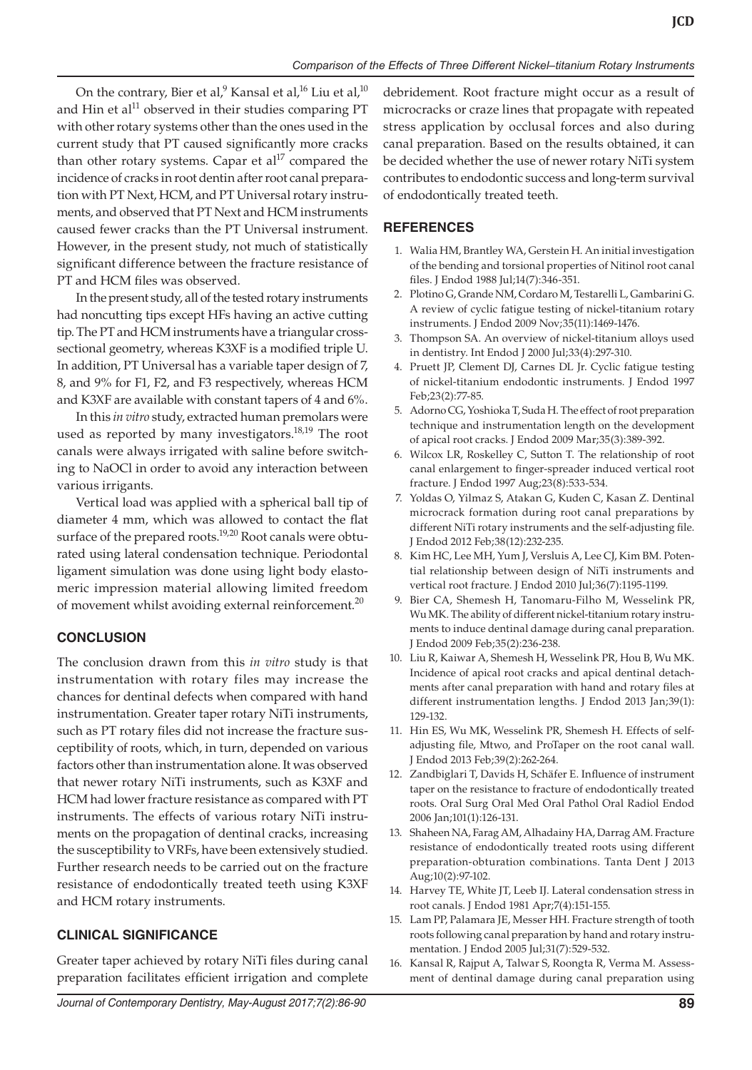On the contrary, Bier et al, $^9$  Kansal et al, $^{16}$  Liu et al, $^{10}$ and Hin et al<sup>11</sup> observed in their studies comparing PT with other rotary systems other than the ones used in the current study that PT caused significantly more cracks than other rotary systems. Capar et al<sup>17</sup> compared the incidence of cracks in root dentin after root canal preparation with PT Next, HCM, and PT Universal rotary instruments, and observed that PT Next and HCM instruments caused fewer cracks than the PT Universal instrument. However, in the present study, not much of statistically significant difference between the fracture resistance of PT and HCM files was observed.

In the present study, all of the tested rotary instruments had noncutting tips except HFs having an active cutting tip. The PT and HCM instruments have a triangular crosssectional geometry, whereas K3XF is a modified triple U. In addition, PT Universal has a variable taper design of 7, 8, and 9% for F1, F2, and F3 respectively, whereas HCM and K3XF are available with constant tapers of 4 and 6%.

In this *in vitro* study, extracted human premolars were used as reported by many investigators. $18,19$  The root canals were always irrigated with saline before switching to NaOCl in order to avoid any interaction between various irrigants.

Vertical load was applied with a spherical ball tip of diameter 4 mm, which was allowed to contact the flat surface of the prepared roots.<sup>19,20</sup> Root canals were obturated using lateral condensation technique. Periodontal ligament simulation was done using light body elastomeric impression material allowing limited freedom of movement whilst avoiding external reinforcement.<sup>20</sup>

# **CONCLUSION**

The conclusion drawn from this *in vitro* study is that instrumentation with rotary files may increase the chances for dentinal defects when compared with hand instrumentation. Greater taper rotary NiTi instruments, such as PT rotary files did not increase the fracture susceptibility of roots, which, in turn, depended on various factors other than instrumentation alone. It was observed that newer rotary NiTi instruments, such as K3XF and HCM had lower fracture resistance as compared with PT instruments. The effects of various rotary NiTi instruments on the propagation of dentinal cracks, increasing the susceptibility to VRFs, have been extensively studied. Further research needs to be carried out on the fracture resistance of endodontically treated teeth using K3XF and HCM rotary instruments.

# **CLINICAL SIGNIFICANCE**

Greater taper achieved by rotary NiTi files during canal preparation facilitates efficient irrigation and complete debridement. Root fracture might occur as a result of microcracks or craze lines that propagate with repeated stress application by occlusal forces and also during canal preparation. Based on the results obtained, it can be decided whether the use of newer rotary NiTi system contributes to endodontic success and long-term survival of endodontically treated teeth.

# **REFERENCES**

- 1. Walia HM, Brantley WA, Gerstein H. An initial investigation of the bending and torsional properties of Nitinol root canal files. J Endod 1988 Jul;14(7):346-351.
- 2. Plotino G, Grande NM, Cordaro M, Testarelli L, Gambarini G. A review of cyclic fatigue testing of nickel-titanium rotary instruments. J Endod 2009 Nov;35(11):1469-1476.
- 3. Thompson SA. An overview of nickel-titanium alloys used in dentistry. Int Endod J 2000 Jul;33(4):297-310.
- 4. Pruett JP, Clement DJ, Carnes DL Jr. Cyclic fatigue testing of nickel-titanium endodontic instruments. J Endod 1997 Feb;23(2):77-85.
- 5. Adorno CG, Yoshioka T, Suda H. The effect of root preparation technique and instrumentation length on the development of apical root cracks. J Endod 2009 Mar;35(3):389-392.
- 6. Wilcox LR, Roskelley C, Sutton T. The relationship of root canal enlargement to finger-spreader induced vertical root fracture. J Endod 1997 Aug;23(8):533-534.
- 7. Yoldas O, Yilmaz S, Atakan G, Kuden C, Kasan Z. Dentinal microcrack formation during root canal preparations by different NiTi rotary instruments and the self-adjusting file. J Endod 2012 Feb;38(12):232-235.
- 8. Kim HC, Lee MH, Yum J, Versluis A, Lee CJ, Kim BM. Potential relationship between design of NiTi instruments and vertical root fracture. J Endod 2010 Jul;36(7):1195-1199.
- 9. Bier CA, Shemesh H, Tanomaru-Filho M, Wesselink PR, Wu MK. The ability of different nickel-titanium rotary instruments to induce dentinal damage during canal preparation. J Endod 2009 Feb;35(2):236-238.
- 10. Liu R, Kaiwar A, Shemesh H, Wesselink PR, Hou B, Wu MK. Incidence of apical root cracks and apical dentinal detachments after canal preparation with hand and rotary files at different instrumentation lengths. J Endod 2013 Jan;39(1): 129-132.
- 11. Hin ES, Wu MK, Wesselink PR, Shemesh H. Effects of selfadjusting file, Mtwo, and ProTaper on the root canal wall. J Endod 2013 Feb;39(2):262-264.
- 12. Zandbiglari T, Davids H, Schäfer E. Influence of instrument taper on the resistance to fracture of endodontically treated roots. Oral Surg Oral Med Oral Pathol Oral Radiol Endod 2006 Jan;101(1):126-131.
- 13. Shaheen NA, Farag AM, Alhadainy HA, Darrag AM. Fracture resistance of endodontically treated roots using different preparation-obturation combinations. Tanta Dent J 2013 Aug;10(2):97-102.
- 14. Harvey TE, White JT, Leeb IJ. Lateral condensation stress in root canals. J Endod 1981 Apr;7(4):151-155.
- 15. Lam PP, Palamara JE, Messer HH. Fracture strength of tooth roots following canal preparation by hand and rotary instrumentation. J Endod 2005 Jul;31(7):529-532.
- 16. Kansal R, Rajput A, Talwar S, Roongta R, Verma M. Assessment of dentinal damage during canal preparation using